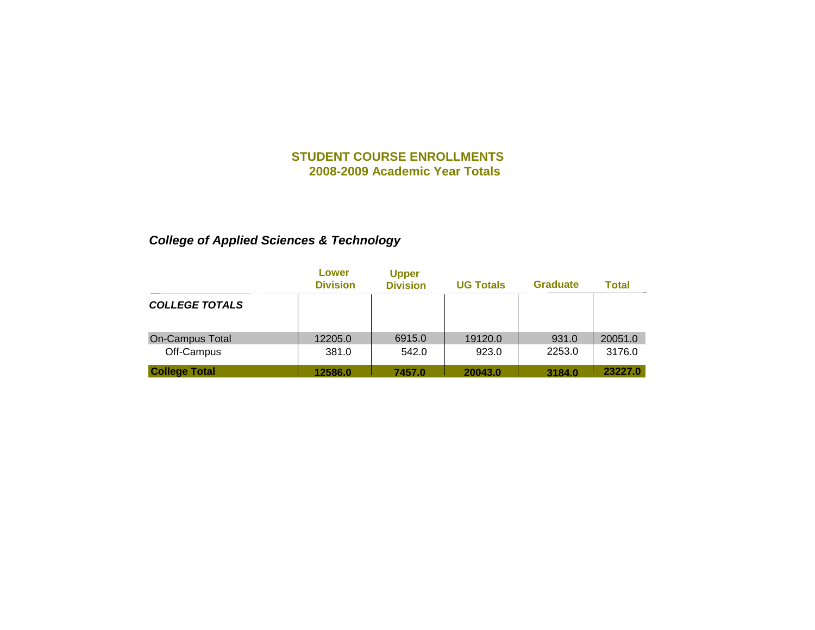# *College of Applied Sciences & Technology*

|                       | Lower<br><b>Division</b> | <b>Upper</b><br><b>Division</b> | <b>UG Totals</b> | <b>Graduate</b> | <b>Total</b> |
|-----------------------|--------------------------|---------------------------------|------------------|-----------------|--------------|
| <b>COLLEGE TOTALS</b> |                          |                                 |                  |                 |              |
| On-Campus Total       | 12205.0                  | 6915.0                          | 19120.0          | 931.0           | 20051.0      |
| Off-Campus            | 381.0                    | 542.0                           | 923.0            | 2253.0          | 3176.0       |
| <b>College Total</b>  | 12586.0                  | 7457.0                          | 20043.0          | 3184.0          | 23227.0      |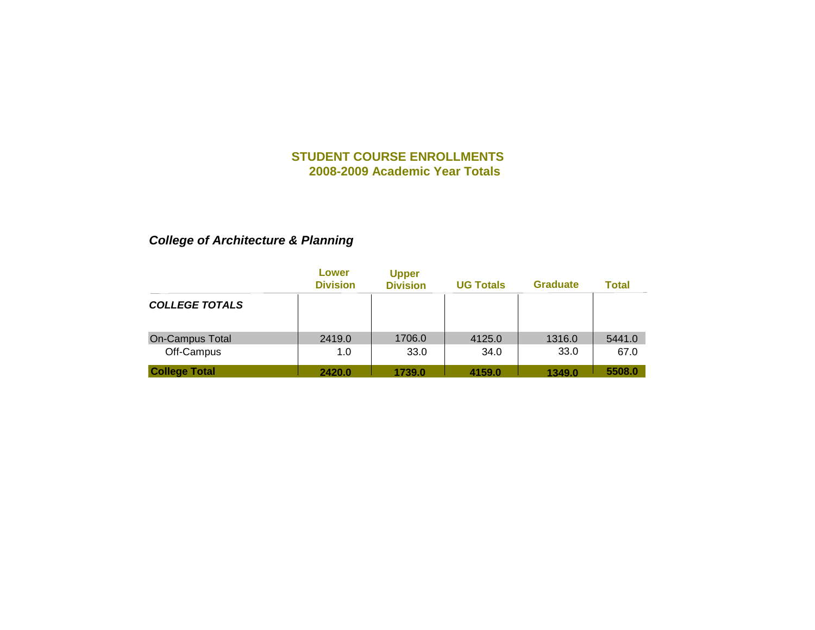# *College of Architecture & Planning*

|                        | Lower<br><b>Division</b> | <b>Upper</b><br><b>Division</b> | <b>UG Totals</b> | <b>Graduate</b> | <b>Total</b> |
|------------------------|--------------------------|---------------------------------|------------------|-----------------|--------------|
| <b>COLLEGE TOTALS</b>  |                          |                                 |                  |                 |              |
| <b>On-Campus Total</b> | 2419.0                   | 1706.0                          | 4125.0           | 1316.0          | 5441.0       |
| Off-Campus             | 1.0                      | 33.0                            | 34.0             | 33.0            | 67.0         |
| <b>College Total</b>   | 2420.0                   | 1739.0                          | 4159.0           | 1349.0          | 5508.0       |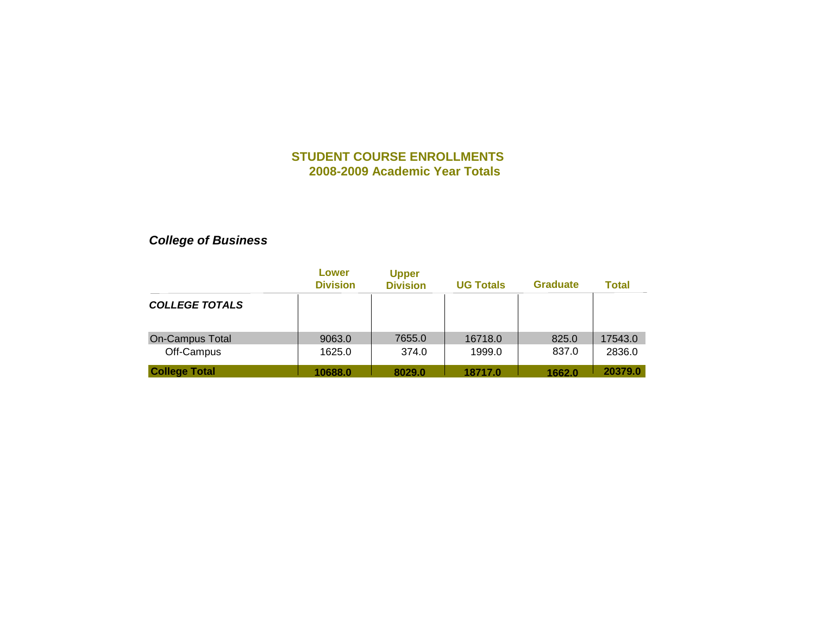# *College of Business*

|                       | Lower<br><b>Division</b> | <b>Upper</b><br><b>Division</b> | <b>UG Totals</b> | <b>Graduate</b> | <b>Total</b> |
|-----------------------|--------------------------|---------------------------------|------------------|-----------------|--------------|
| <b>COLLEGE TOTALS</b> |                          |                                 |                  |                 |              |
| On-Campus Total       | 9063.0                   | 7655.0                          | 16718.0          | 825.0           | 17543.0      |
| Off-Campus            | 1625.0                   | 374.0                           | 1999.0           | 837.0           | 2836.0       |
| <b>College Total</b>  | 10688.0                  | 8029.0                          | 18717.0          | 1662.0          | 20379.0      |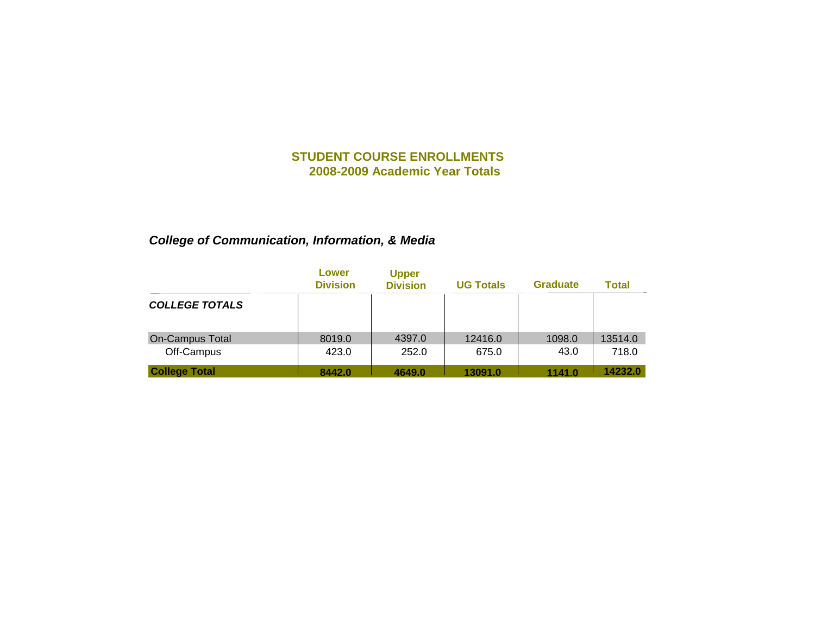# *College of Communication, Information, & Media*

|                       | Lower<br><b>Division</b> | <b>Upper</b><br><b>Division</b> | <b>UG Totals</b> | <b>Graduate</b> | <b>Total</b> |
|-----------------------|--------------------------|---------------------------------|------------------|-----------------|--------------|
| <b>COLLEGE TOTALS</b> |                          |                                 |                  |                 |              |
| On-Campus Total       | 8019.0                   | 4397.0                          | 12416.0          | 1098.0          | 13514.0      |
| Off-Campus            | 423.0                    | 252.0                           | 675.0            | 43.0            | 718.0        |
| <b>College Total</b>  | 8442.0                   | 4649.0                          | 13091.0          | 1141.0          | 14232.0      |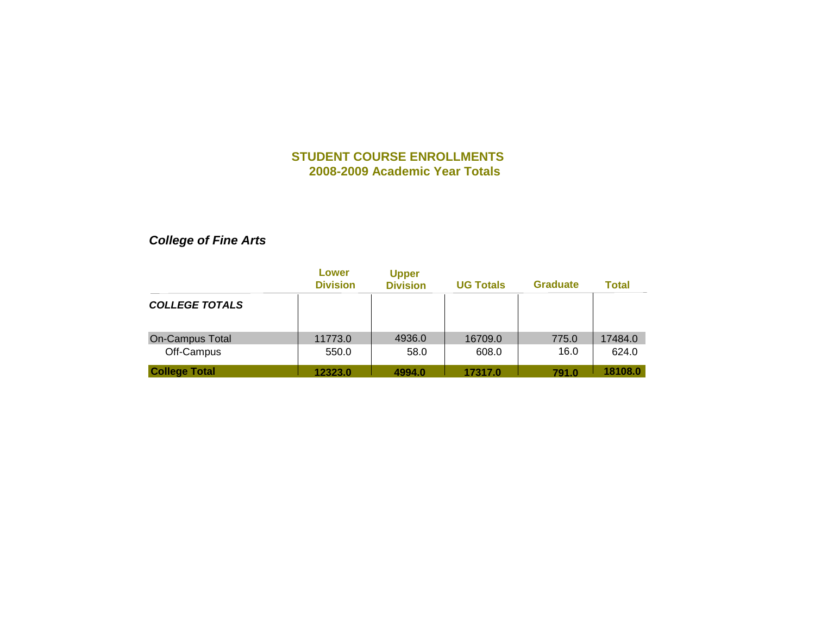# *College of Fine Arts*

|                       | Lower<br><b>Division</b> | <b>Upper</b><br><b>Division</b> | <b>UG Totals</b> | <b>Graduate</b> | <b>Total</b> |
|-----------------------|--------------------------|---------------------------------|------------------|-----------------|--------------|
| <b>COLLEGE TOTALS</b> |                          |                                 |                  |                 |              |
| On-Campus Total       | 11773.0                  | 4936.0                          | 16709.0          | 775.0           | 17484.0      |
| Off-Campus            | 550.0                    | 58.0                            | 608.0            | 16.0            | 624.0        |
| <b>College Total</b>  | 12323.0                  | 4994.0                          | 17317.0          | 791.0           | 18108.0      |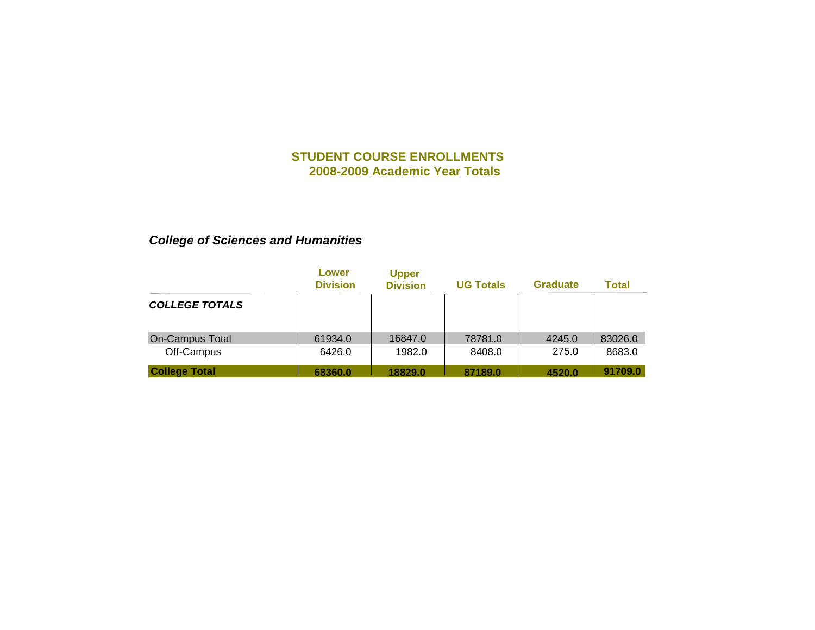# *College of Sciences and Humanities*

|                       | Lower<br><b>Division</b> | <b>Upper</b><br><b>Division</b> | <b>UG Totals</b> | <b>Graduate</b> | <b>Total</b> |
|-----------------------|--------------------------|---------------------------------|------------------|-----------------|--------------|
| <b>COLLEGE TOTALS</b> |                          |                                 |                  |                 |              |
| On-Campus Total       | 61934.0                  | 16847.0                         | 78781.0          | 4245.0          | 83026.0      |
| Off-Campus            | 6426.0                   | 1982.0                          | 8408.0           | 275.0           | 8683.0       |
| <b>College Total</b>  | 68360.0                  | 18829.0                         | 87189.0          | 4520.0          | 91709.0      |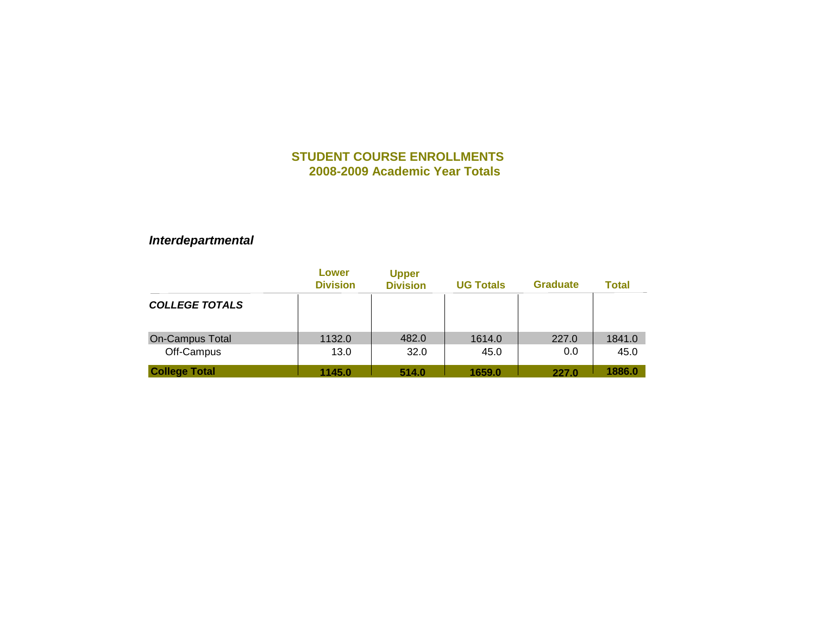*Interdepartmental*

|                        | Lower<br><b>Division</b> | <b>Upper</b><br><b>Division</b> | <b>UG Totals</b> | <b>Graduate</b> | <b>Total</b> |
|------------------------|--------------------------|---------------------------------|------------------|-----------------|--------------|
| <b>COLLEGE TOTALS</b>  |                          |                                 |                  |                 |              |
| <b>On-Campus Total</b> | 1132.0                   | 482.0                           | 1614.0           | 227.0           | 1841.0       |
| Off-Campus             | 13.0                     | 32.0                            | 45.0             | 0.0             | 45.0         |
| <b>College Total</b>   | 1145.0                   | 514.0                           | 1659.0           | 227.0           | 1886.0       |